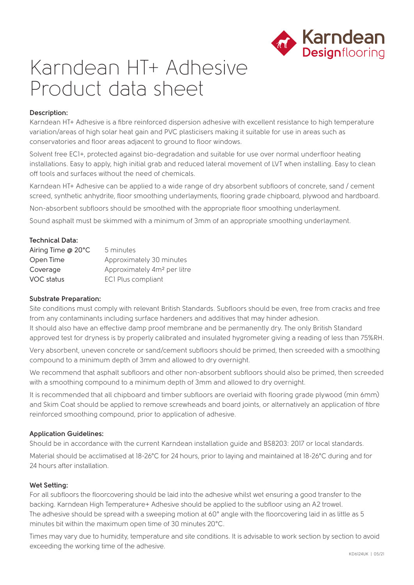

# Karndean HT+ Adhesive Product data sheet

# **Description:**

Karndean HT+ Adhesive is a fibre reinforced dispersion adhesive with excellent resistance to high temperature variation/areas of high solar heat gain and PVC plasticisers making it suitable for use in areas such as conservatories and floor areas adjacent to ground to floor windows.

Solvent free EC1+, protected against bio-degradation and suitable for use over normal underfloor heating installations. Easy to apply, high initial grab and reduced lateral movement of LVT when installing. Easy to clean off tools and surfaces without the need of chemicals.

Karndean HT+ Adhesive can be applied to a wide range of dry absorbent subfloors of concrete, sand / cement screed, synthetic anhydrite, floor smoothing underlayments, flooring grade chipboard, plywood and hardboard.

Non-absorbent subfloors should be smoothed with the appropriate floor smoothing underlayment.

Sound asphalt must be skimmed with a minimum of 3mm of an appropriate smoothing underlayment.

# **Technical Data:**

| Airing Time @ 20°C | 5 minutes                               |
|--------------------|-----------------------------------------|
| Open Time          | Approximately 30 minutes                |
| Coverage           | Approximately 4m <sup>2</sup> per litre |
| VOC status         | ECI Plus compliant                      |

## **Substrate Preparation:**

Site conditions must comply with relevant British Standards. Subfloors should be even, free from cracks and free from any contaminants including surface hardeners and additives that may hinder adhesion. It should also have an effective damp proof membrane and be permanently dry. The only British Standard approved test for dryness is by properly calibrated and insulated hygrometer giving a reading of less than 75%RH.

Very absorbent, uneven concrete or sand/cement subfloors should be primed, then screeded with a smoothing compound to a minimum depth of 3mm and allowed to dry overnight.

We recommend that asphalt subfloors and other non-absorbent subfloors should also be primed, then screeded with a smoothing compound to a minimum depth of 3mm and allowed to dry overnight.

It is recommended that all chipboard and timber subfloors are overlaid with flooring grade plywood (min 6mm) and Skim Coat should be applied to remove screwheads and board joints, or alternatively an application of fibre reinforced smoothing compound, prior to application of adhesive.

## **Application Guidelines:**

Should be in accordance with the current Karndean installation guide and BS8203: 2017 or local standards.

Material should be acclimatised at 18-26°C for 24 hours, prior to laying and maintained at 18-26°C during and for 24 hours after installation.

## **Wet Setting:**

For all subfloors the floorcovering should be laid into the adhesive whilst wet ensuring a good transfer to the backing. Karndean High Temperature+ Adhesive should be applied to the subfloor using an A2 trowel. The adhesive should be spread with a sweeping motion at 60° angle with the floorcovering laid in as little as 5 minutes bit within the maximum open time of 30 minutes 20°C.

Times may vary due to humidity, temperature and site conditions. It is advisable to work section by section to avoid exceeding the working time of the adhesive.